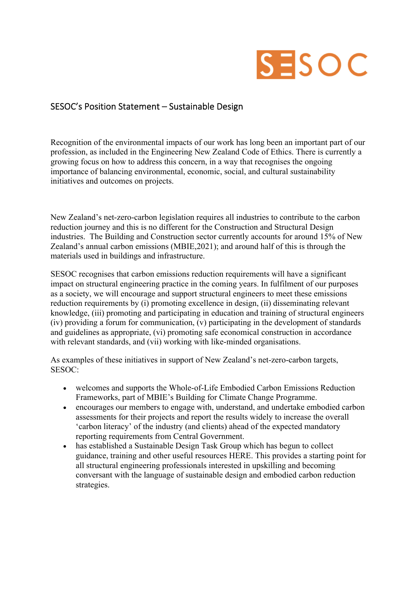## SESOC

## SESOC's Position Statement – Sustainable Design

Recognition of the environmental impacts of our work has long been an important part of our profession, as included in the Engineering New Zealand Code of Ethics. There is currently a growing focus on how to address this concern, in a way that recognises the ongoing importance of balancing environmental, economic, social, and cultural sustainability initiatives and outcomes on projects.

New Zealand's net-zero-carbon legislation requires all industries to contribute to the carbon reduction journey and this is no different for the Construction and Structural Design industries. The Building and Construction sector currently accounts for around 15% of New Zealand's annual carbon emissions (MBIE,2021); and around half of this is through the materials used in buildings and infrastructure.

SESOC recognises that carbon emissions reduction requirements will have a significant impact on structural engineering practice in the coming years. In fulfilment of our purposes as a society, we will encourage and support structural engineers to meet these emissions reduction requirements by (i) promoting excellence in design, (ii) disseminating relevant knowledge, (iii) promoting and participating in education and training of structural engineers (iv) providing a forum for communication, (v) participating in the development of standards and guidelines as appropriate, (vi) promoting safe economical construction in accordance with relevant standards, and (vii) working with like-minded organisations.

As examples of these initiatives in support of New Zealand's net-zero-carbon targets, SESOC:

- welcomes and supports the Whole-of-Life Embodied Carbon Emissions Reduction Frameworks, part of MBIE's Building for Climate Change Programme.
- encourages our members to engage with, understand, and undertake embodied carbon assessments for their projects and report the results widely to increase the overall 'carbon literacy' of the industry (and clients) ahead of the expected mandatory reporting requirements from Central Government.
- has established a Sustainable Design Task Group which has begun to collect guidance, training and other useful resources HERE. This provides a starting point for all structural engineering professionals interested in upskilling and becoming conversant with the language of sustainable design and embodied carbon reduction strategies.